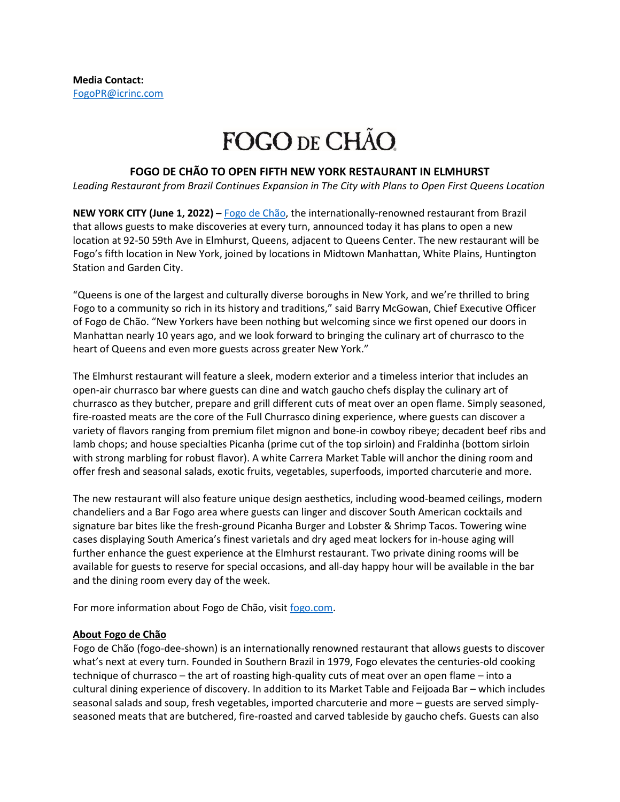## FOGO DE CHÃO.

## **FOGO DE CHÃO TO OPEN FIFTH NEW YORK RESTAURANT IN ELMHURST**

*Leading Restaurant from Brazil Continues Expansion in The City with Plans to Open First Queens Location*

**NEW YORK CITY (June 1, 2022) –** [Fogo de Chão,](http://www.fogodechao.com/) the internationally-renowned restaurant from Brazil that allows guests to make discoveries at every turn, announced today it has plans to open a new location at 92-50 59th Ave in Elmhurst, Queens, adjacent to Queens Center. The new restaurant will be Fogo's fifth location in New York, joined by locations in Midtown Manhattan, White Plains, Huntington Station and Garden City.

"Queens is one of the largest and culturally diverse boroughs in New York, and we're thrilled to bring Fogo to a community so rich in its history and traditions," said Barry McGowan, Chief Executive Officer of Fogo de Chão. "New Yorkers have been nothing but welcoming since we first opened our doors in Manhattan nearly 10 years ago, and we look forward to bringing the culinary art of churrasco to the heart of Queens and even more guests across greater New York."

The Elmhurst restaurant will feature a sleek, modern exterior and a timeless interior that includes an open-air churrasco bar where guests can dine and watch gaucho chefs display the culinary art of churrasco as they butcher, prepare and grill different cuts of meat over an open flame. Simply seasoned, fire-roasted meats are the core of the Full Churrasco dining experience, where guests can discover a variety of flavors ranging from premium filet mignon and bone-in cowboy ribeye; decadent beef ribs and lamb chops; and house specialties Picanha (prime cut of the top sirloin) and Fraldinha (bottom sirloin with strong marbling for robust flavor). A white Carrera Market Table will anchor the dining room and offer fresh and seasonal salads, exotic fruits, vegetables, superfoods, imported charcuterie and more.

The new restaurant will also feature unique design aesthetics, including wood-beamed ceilings, modern chandeliers and a Bar Fogo area where guests can linger and discover South American cocktails and signature bar bites like the fresh-ground Picanha Burger and Lobster & Shrimp Tacos. Towering wine cases displaying South America's finest varietals and dry aged meat lockers for in-house aging will further enhance the guest experience at the Elmhurst restaurant. Two private dining rooms will be available for guests to reserve for special occasions, and all-day happy hour will be available in the bar and the dining room every day of the week.

For more information about Fogo de Chão, visi[t fogo.com.](http://www.fogo.com/)

## **About Fogo de Chão**

Fogo de Chão (fogo-dee-shown) is an internationally renowned restaurant that allows guests to discover what's next at every turn. Founded in Southern Brazil in 1979, Fogo elevates the centuries-old cooking technique of churrasco – the art of roasting high-quality cuts of meat over an open flame – into a cultural dining experience of discovery. In addition to its Market Table and Feijoada Bar – which includes seasonal salads and soup, fresh vegetables, imported charcuterie and more – guests are served simplyseasoned meats that are butchered, fire-roasted and carved tableside by gaucho chefs. Guests can also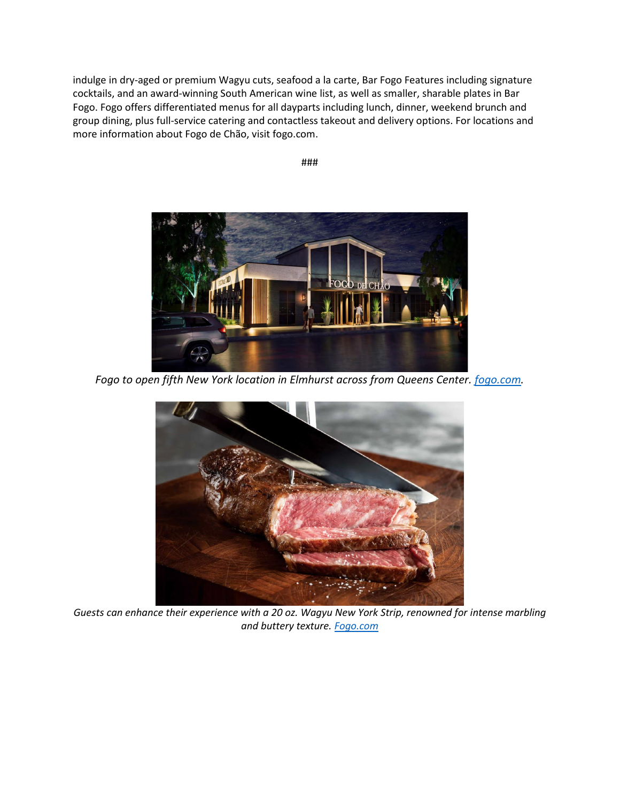indulge in dry-aged or premium Wagyu cuts, seafood a la carte, Bar Fogo Features including signature cocktails, and an award-winning South American wine list, as well as smaller, sharable plates in Bar Fogo. Fogo offers differentiated menus for all dayparts including lunch, dinner, weekend brunch and group dining, plus full-service catering and contactless takeout and delivery options. For locations and more information about Fogo de Chão, visit fogo.com.

###



*Fogo to open fifth New York location in Elmhurst across from Queens Center. [fogo.com.](http://www.fogo.com/)*



*Guests can enhance their experience with a 20 oz. Wagyu New York Strip, renowned for intense marbling and buttery texture. [Fogo.com](https://protect-us.mimecast.com/s/SRIvCJ6YNvI1Vk1PiV8bYC?domain=fogo.com)*